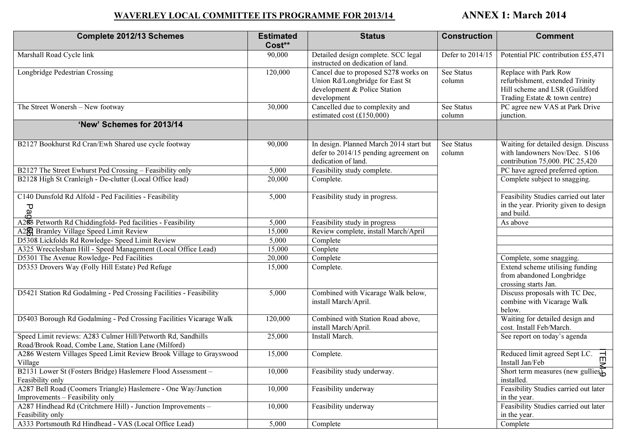## WAVERLEY LOCAL COMMITTEE ITS PROGRAMME FOR 2013/14 ANNEX 1: March 2014

| <b>Complete 2012/13 Schemes</b>                                                                                     | <b>Estimated</b><br>Cost** | <b>Status</b>                                                                                                          | <b>Construction</b>  | <b>Comment</b>                                                                                                              |
|---------------------------------------------------------------------------------------------------------------------|----------------------------|------------------------------------------------------------------------------------------------------------------------|----------------------|-----------------------------------------------------------------------------------------------------------------------------|
| Marshall Road Cycle link                                                                                            | 90,000                     | Detailed design complete. SCC legal<br>instructed on dedication of land.                                               | Defer to 2014/15     | Potential PIC contribution £55,471                                                                                          |
| Longbridge Pedestrian Crossing                                                                                      | 120,000                    | Cancel due to proposed S278 works on<br>Union Rd/Longbridge for East St<br>development & Police Station<br>development | See Status<br>column | Replace with Park Row<br>refurbishment, extended Trinity<br>Hill scheme and LSR (Guildford<br>Trading Estate & town centre) |
| The Street Wonersh - New footway                                                                                    | 30,000                     | Cancelled due to complexity and<br>estimated cost $(\text{\textsterling}150,000)$                                      | See Status<br>column | PC agree new VAS at Park Drive<br>junction.                                                                                 |
| 'New' Schemes for 2013/14                                                                                           |                            |                                                                                                                        |                      |                                                                                                                             |
| B2127 Bookhurst Rd Cran/Ewh Shared use cycle footway                                                                | 90,000                     | In design. Planned March 2014 start but<br>defer to 2014/15 pending agreement on<br>dedication of land.                | See Status<br>column | Waiting for detailed design. Discuss<br>with landowners Nov/Dec. S106<br>contribution 75,000. PIC 25,420                    |
| B2127 The Street Ewhurst Ped Crossing - Feasibility only                                                            | 5,000                      | Feasibility study complete.                                                                                            |                      | PC have agreed preferred option.                                                                                            |
| B2128 High St Cranleigh - De-clutter (Local Office lead)                                                            | 20,000                     | Complete.                                                                                                              |                      | Complete subject to snagging.                                                                                               |
| C140 Dunsfold Rd Alfold - Ped Facilities - Feasibility<br>Ра<br>О                                                   | 5,000                      | Feasibility study in progress.                                                                                         |                      | Feasibility Studies carried out later<br>in the year. Priority given to design<br>and build.                                |
| A2 <sup>0</sup> 8 Petworth Rd Chiddingfold- Ped facilities - Feasibility                                            | 5,000                      | Feasibility study in progress                                                                                          |                      | As above                                                                                                                    |
| A2 <sup>8</sup> Bramley Village Speed Limit Review                                                                  | 15,000                     | Review complete, install March/April                                                                                   |                      |                                                                                                                             |
| D5308 Lickfolds Rd Rowledge- Speed Limit Review                                                                     | 5,000                      | Complete                                                                                                               |                      |                                                                                                                             |
| A325 Wrecclesham Hill - Speed Management (Local Office Lead)                                                        | 15,000                     | Conplete                                                                                                               |                      |                                                                                                                             |
| D5301 The Avenue Rowledge- Ped Facilities                                                                           | 20,000                     | Complete                                                                                                               |                      | Complete, some snagging.                                                                                                    |
| D5353 Drovers Way (Folly Hill Estate) Ped Refuge                                                                    | 15,000                     | Complete.                                                                                                              |                      | Extend scheme utilising funding<br>from abandoned Longbridge<br>crossing starts Jan.                                        |
| D5421 Station Rd Godalming - Ped Crossing Facilities - Feasibility                                                  | 5,000                      | Combined with Vicarage Walk below,<br>install March/April.                                                             |                      | Discuss proposals with TC Dec,<br>combine with Vicarage Walk<br>below.                                                      |
| D5403 Borough Rd Godalming - Ped Crossing Facilities Vicarage Walk                                                  | 120,000                    | Combined with Station Road above,<br>install March/April.                                                              |                      | Waiting for detailed design and<br>cost. Install Feb/March.                                                                 |
| Speed Limit reviews: A283 Culmer Hill/Petworth Rd, Sandhills<br>Road/Brook Road, Combe Lane, Station Lane (Milford) | 25,000                     | Install March.                                                                                                         |                      | See report on today's agenda                                                                                                |
| A286 Western Villages Speed Limit Review Brook Village to Grayswood<br>Village                                      | 15,000                     | Complete.                                                                                                              |                      | Reduced limit agreed Sept LC. $\overrightarrow{\Pi}$<br>Install Jan/Feb                                                     |
| B2131 Lower St (Fosters Bridge) Haslemere Flood Assessment -<br>Feasibility only                                    | 10,000                     | Feasibility study underway.                                                                                            |                      | $\frac{2}{\text{Short term measures (new gullies)}}$<br>installed.                                                          |
| A287 Bell Road (Coomers Triangle) Haslemere - One Way/Junction<br>Improvements – Feasibility only                   | 10,000                     | Feasibility underway                                                                                                   |                      | Feasibility Studies carried out later<br>in the year.                                                                       |
| A287 Hindhead Rd (Critchmere Hill) - Junction Improvements -<br>Feasibility only                                    | 10,000                     | Feasibility underway                                                                                                   |                      | Feasibility Studies carried out later<br>in the year.                                                                       |
| A333 Portsmouth Rd Hindhead - VAS (Local Office Lead)                                                               | 5,000                      | Complete                                                                                                               |                      | Complete                                                                                                                    |